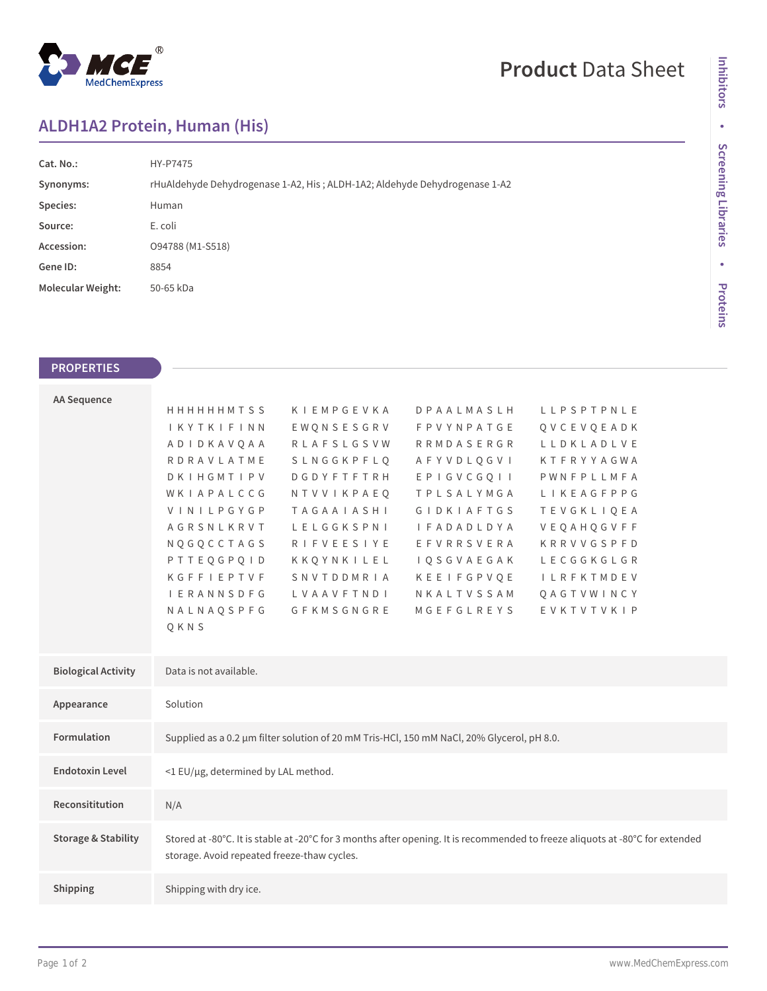

# **Product** Data Sheet

# Inhibitors **Inhibitors** • Screening Libraries **Screening Libraries • Proteins**

## **ALDH1A2 Protein, Human (His)**

| Cat. No.:                | HY-P7475                                                                   |  |  |
|--------------------------|----------------------------------------------------------------------------|--|--|
| Synonyms:                | rHuAldehyde Dehydrogenase 1-A2, His; ALDH-1A2; Aldehyde Dehydrogenase 1-A2 |  |  |
| Species:                 | Human                                                                      |  |  |
| Source:                  | E. coli                                                                    |  |  |
| Accession:               | 094788 (M1-S518)                                                           |  |  |
| Gene ID:                 | 8854                                                                       |  |  |
| <b>Molecular Weight:</b> | 50-65 kDa                                                                  |  |  |
|                          |                                                                            |  |  |

#### **PROPERTIES**

| <b>AA Sequence</b>             |                                                                                                                                                                              |                   |                            |                   |  |  |  |
|--------------------------------|------------------------------------------------------------------------------------------------------------------------------------------------------------------------------|-------------------|----------------------------|-------------------|--|--|--|
|                                | <b>HHHHHHMTSS</b>                                                                                                                                                            | KIEMPGEVKA        | <b>DPAALMASLH</b>          | LLPSPTPNLE        |  |  |  |
|                                | IKYTKIFINN                                                                                                                                                                   | EWQNSESGRV        | <b>FPVYNPATGE</b>          | QVCEVQEADK        |  |  |  |
|                                | ADIDKAVQAA                                                                                                                                                                   | <b>RLAFSLGSVW</b> | <b>RRMDASERGR</b>          | LLDKLADLVE        |  |  |  |
|                                | RDRAVLATME                                                                                                                                                                   | SLNGGKPFLQ        | AFYVDLQGVI                 | KTFRYYAGWA        |  |  |  |
|                                | DKIHGMTIPV                                                                                                                                                                   | <b>DGDYFTFTRH</b> | EPIGVCGQII                 | PWNFPLLMFA        |  |  |  |
|                                | WKIAPALCCG                                                                                                                                                                   | NTVVIKPAEO        | TPLSALYMGA                 | LIKEAGFPPG        |  |  |  |
|                                | VINILPGYGP                                                                                                                                                                   | <b>TAGAAIASHI</b> | <b>GIDKIAFTGS</b>          | <b>TEVGKLIOEA</b> |  |  |  |
|                                | AGRSNLKRVT                                                                                                                                                                   | LELGGKSPNI        | <b>I F A D A D L D Y A</b> | VEQAHQGVFF        |  |  |  |
|                                | NQGQCCTAGS                                                                                                                                                                   | <b>RIFVEESIYE</b> | EFVRRSVERA                 | KRRVVGSPFD        |  |  |  |
|                                | PTTEQGPQID                                                                                                                                                                   | KKQYNKILEL        | <b>IQSGVAEGAK</b>          | LECGGKGLGR        |  |  |  |
|                                | KGFFIEPTVF                                                                                                                                                                   | SNVTDDMRIA        | KEEIFGPVQE                 | <b>ILRFKTMDEV</b> |  |  |  |
|                                | <b>I E R A N N S D F G</b>                                                                                                                                                   | LVAAVFTNDI        | NKALTVSSAM                 | QAGTVWINCY        |  |  |  |
|                                | NALNAQSPFG                                                                                                                                                                   | GFKMSGNGRE        | MGEFGLREYS                 | EVKTVTVKIP        |  |  |  |
|                                | QKNS                                                                                                                                                                         |                   |                            |                   |  |  |  |
|                                |                                                                                                                                                                              |                   |                            |                   |  |  |  |
| <b>Biological Activity</b>     | Data is not available.                                                                                                                                                       |                   |                            |                   |  |  |  |
| Appearance                     | Solution                                                                                                                                                                     |                   |                            |                   |  |  |  |
| <b>Formulation</b>             | Supplied as a 0.2 µm filter solution of 20 mM Tris-HCl, 150 mM NaCl, 20% Glycerol, pH 8.0.                                                                                   |                   |                            |                   |  |  |  |
| <b>Endotoxin Level</b>         | <1 EU/µg, determined by LAL method.                                                                                                                                          |                   |                            |                   |  |  |  |
| Reconsititution                | N/A                                                                                                                                                                          |                   |                            |                   |  |  |  |
| <b>Storage &amp; Stability</b> | Stored at -80°C. It is stable at -20°C for 3 months after opening. It is recommended to freeze aliquots at -80°C for extended<br>storage. Avoid repeated freeze-thaw cycles. |                   |                            |                   |  |  |  |
| Shipping                       | Shipping with dry ice.                                                                                                                                                       |                   |                            |                   |  |  |  |
|                                |                                                                                                                                                                              |                   |                            |                   |  |  |  |